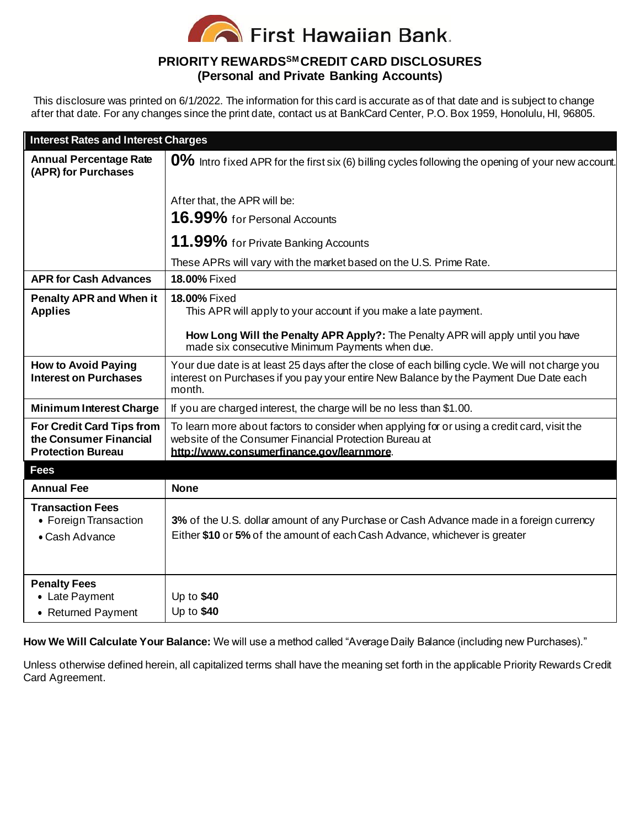

## **PRIORITY REWARDSSM CREDIT CARD DISCLOSURES (Personal and Private Banking Accounts)**

This disclosure was printed on 6/1/2022. The information for this card is accurate as of that date and is subject to change after that date. For any changes since the print date, contact us at BankCard Center, P.O. Box 1959, Honolulu, HI, 96805.

| <b>Interest Rates and Interest Charges</b>                                      |                                                                                                                                                                                                    |
|---------------------------------------------------------------------------------|----------------------------------------------------------------------------------------------------------------------------------------------------------------------------------------------------|
| <b>Annual Percentage Rate</b><br>(APR) for Purchases                            | $0\%$ Intro fixed APR for the first six (6) billing cycles following the opening of your new account.                                                                                              |
|                                                                                 | After that, the APR will be:                                                                                                                                                                       |
|                                                                                 | 16.99% for Personal Accounts                                                                                                                                                                       |
|                                                                                 | 11.99% for Private Banking Accounts                                                                                                                                                                |
|                                                                                 | These APRs will vary with the market based on the U.S. Prime Rate.                                                                                                                                 |
| <b>APR for Cash Advances</b>                                                    | 18.00% Fixed                                                                                                                                                                                       |
| <b>Penalty APR and When it</b><br><b>Applies</b>                                | 18.00% Fixed<br>This APR will apply to your account if you make a late payment.                                                                                                                    |
|                                                                                 | How Long Will the Penalty APR Apply?: The Penalty APR will apply until you have<br>made six consecutive Minimum Payments when due.                                                                 |
| <b>How to Avoid Paying</b><br><b>Interest on Purchases</b>                      | Your due date is at least 25 days after the close of each billing cycle. We will not charge you<br>interest on Purchases if you pay your entire New Balance by the Payment Due Date each<br>month. |
| <b>Minimum Interest Charge</b>                                                  | If you are charged interest, the charge will be no less than \$1.00.                                                                                                                               |
| For Credit Card Tips from<br>the Consumer Financial<br><b>Protection Bureau</b> | To learn more about factors to consider when applying for or using a credit card, visit the<br>website of the Consumer Financial Protection Bureau at<br>http://www.consumerfinance.gov/learnmore. |
| <b>Fees</b>                                                                     |                                                                                                                                                                                                    |
| <b>Annual Fee</b>                                                               | <b>None</b>                                                                                                                                                                                        |
| <b>Transaction Fees</b><br>• Foreign Transaction<br>• Cash Advance              | 3% of the U.S. dollar amount of any Purchase or Cash Advance made in a foreign currency<br>Either \$10 or 5% of the amount of each Cash Advance, whichever is greater                              |
| <b>Penalty Fees</b>                                                             |                                                                                                                                                                                                    |
| • Late Payment                                                                  | Up to \$40                                                                                                                                                                                         |
| • Returned Payment                                                              | Up to \$40                                                                                                                                                                                         |

**How We Will Calculate Your Balance:** We will use a method called "Average Daily Balance (including new Purchases)."

Unless otherwise defined herein, all capitalized terms shall have the meaning set forth in the applicable Priority Rewards Credit Card Agreement.